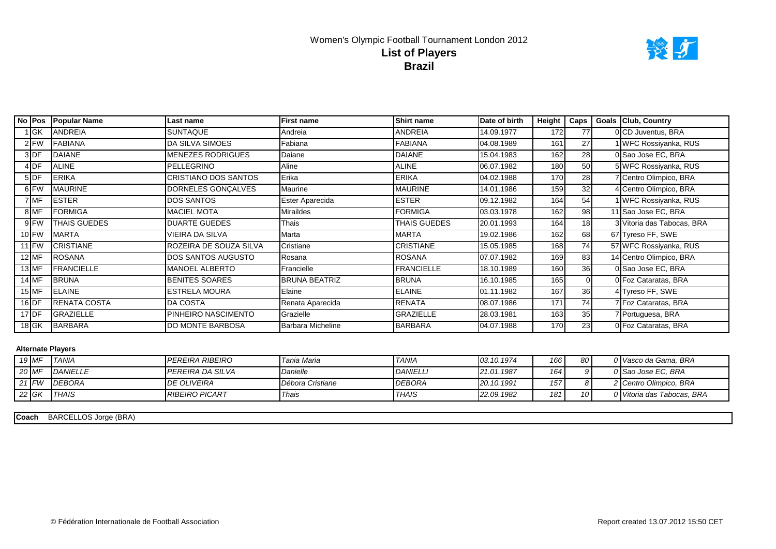## Women's Olympic Football Tournament London 2012 **Brazil List of Players**



|           | No Pos Popular Name | Last name                | <b>First name</b>    | <b>Shirt name</b> | Date of birth | Height           | Caps            | <b>Goals Club, Country</b> |
|-----------|---------------------|--------------------------|----------------------|-------------------|---------------|------------------|-----------------|----------------------------|
| ∣ GK      | ANDREIA             | <b>SUNTAQUE</b>          | Andreia              | ANDREIA           | 14.09.1977    | 172              | 77              | 0 CD Juventus, BRA         |
| $2$ FW    | <b>FABIANA</b>      | DA SILVA SIMOES          | Fabiana              | <b>FABIANA</b>    | 04.08.1989    | 161              | 27              | WFC Rossiyanka, RUS        |
| 3DF       | <b>DAIANE</b>       | <b>MENEZES RODRIGUES</b> | Daiane               | <b>DAIANE</b>     | 15.04.1983    | $16\overline{2}$ | 28              | 0 Sao Jose EC, BRA         |
| $4$ DF    | <b>ALINE</b>        | PELLEGRINO               | Aline                | <b>ALINE</b>      | 06.07.1982    | 180              | 50              | 5 WFC Rossiyanka, RUS      |
| $5$ DF    | <b>ERIKA</b>        | CRISTIANO DOS SANTOS     | Erika                | <b>ERIKA</b>      | 04.02.1988    | 170              | 28              | 7 Centro Olimpico, BRA     |
| 6 FW      | <b>MAURINE</b>      | DORNELES GONÇALVES       | Maurine              | <b>MAURINE</b>    | 14.01.1986    | 159              | 32              | 4 Centro Olimpico, BRA     |
| 7 MF      | <b>ESTER</b>        | <b>DOS SANTOS</b>        | Ester Aparecida      | <b>ESTER</b>      | 09.12.1982    | 164              | 54              | <b>WFC Rossiyanka, RUS</b> |
| 8 MF      | <b>FORMIGA</b>      | <b>MACIEL MOTA</b>       | Miraildes            | <b>FORMIGA</b>    | 03.03.1978    | 162              | 98              | 11 Sao Jose EC, BRA        |
| 9 FW      | <b>THAIS GUEDES</b> | <b>DUARTE GUEDES</b>     | Thais                | THAIS GUEDES      | 20.01.1993    | 164              | 18 <sup>1</sup> | 3 Vitoria das Tabocas, BRA |
| 10 FW     | <b>MARTA</b>        | VIEIRA DA SILVA          | Marta                | MARTA             | 19.02.1986    | 162              | 68              | 67 Tyreso FF, SWE          |
| $11$ FW   | <b>CRISTIANE</b>    | ROZEIRA DE SOUZA SILVA   | Cristiane            | <b>CRISTIANE</b>  | 15.05.1985    | 168              | 74              | 57 WFC Rossiyanka, RUS     |
| 12 MF     | <b>ROSANA</b>       | DOS SANTOS AUGUSTO       | Rosana               | <b>ROSANA</b>     | 07.07.1982    | 169              | 83              | 14 Centro Olimpico, BRA    |
| 13 MF     | <b>FRANCIELLE</b>   | MANOEL ALBERTO           | Francielle           | <b>FRANCIELLE</b> | 18.10.1989    | 160              | 36              | 0 Sao Jose EC, BRA         |
| 14 MF     | <b>BRUNA</b>        | <b>BENITES SOARES</b>    | <b>BRUNA BEATRIZ</b> | <b>BRUNA</b>      | 16.10.1985    | 165              |                 | 0 Foz Cataratas, BRA       |
| 15 MF     | <b>ELAINE</b>       | <b>ESTRELA MOURA</b>     | Elaine               | <b>ELAINE</b>     | 01.11.1982    | 167              | 36              | 4 Tyreso FF, SWE           |
| $16$ DF   | <b>RENATA COSTA</b> | <b>DA COSTA</b>          | Renata Aparecida     | <b>RENATA</b>     | 08.07.1986    | 171              | 74              | 7 Foz Cataratas, BRA       |
| $17$ DF   | GRAZIELLE           | PINHEIRO NASCIMENTO      | Grazielle            | <b>GRAZIELLE</b>  | 28.03.1981    | 163              | 35              | 7 Portuguesa, BRA          |
| $18$ $GK$ | <b>BARBARA</b>      | <b>DO MONTE BARBOSA</b>  | Barbara Micheline    | <b>BARBARA</b>    | 04.07.1988    | 170              | 23              | 0 Foz Cataratas, BRA       |

#### **Alternate Players**

|         | $19$ MF | <b>TANIA</b>  | <b>IPEREIRA RIBEIRO</b> | Tania Maria      | <b>TANIA</b>   | 03.10.1974 | 166 | 80 I            | 0 Vasco da Gama, BRA       |
|---------|---------|---------------|-------------------------|------------------|----------------|------------|-----|-----------------|----------------------------|
| 20 MF   |         | DANIELLE      | I PEREIRA DA SILVA      | Danielle         | <b>DANIELL</b> | 21.01.1987 | 164 |                 | 0 Sao Jose EC, BRA         |
| $21$ FW |         | <b>DEBORA</b> | <b>DE OLIVEIRA</b>      | Débora Cristiane | <b>DEBORA</b>  | 20.10.1991 | 157 |                 | 2 Centro Olimpico, BRA     |
| 22 $GK$ |         | <b>THAIS</b>  | <b>RIBEIRO PICART</b>   | Thais            | <b>THAIS</b>   | 22.09.1982 | 181 | 10 <sup>1</sup> | 0 Vitoria das Tabocas, BRA |

**Coach** BARCELLOS Jorge (BRA)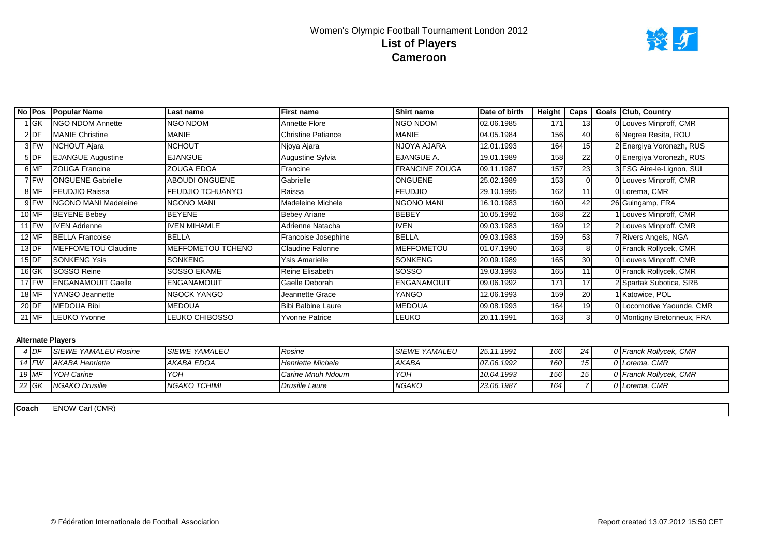

|         |           | No Pos Popular Name       | Last name           | <b>First name</b>         | <b>Shirt name</b>  | Date of birth | Height | Caps            | Goals Club, Country        |
|---------|-----------|---------------------------|---------------------|---------------------------|--------------------|---------------|--------|-----------------|----------------------------|
|         | 1 lGK ∣   | <b>NGO NDOM Annette</b>   | NGO NDOM            | Annette Flore             | <b>NGO NDOM</b>    | 02.06.1985    | 171    | 131             | 0 Louves Minproff, CMR     |
|         | $2$ DF    | <b>IMANIE Christine</b>   | MANIE               | <b>Christine Patiance</b> | MANIE              | 04.05.1984    | 156    | 40              | 6 Negrea Resita, ROU       |
|         | 3 FW      | NCHOUT Ajara              | NCHOUT              | Njoya Ajara               | NJOYA AJARA        | 12.01.1993    | 164    | 15 <sup>1</sup> | 2 Energiya Voronezh, RUS   |
|         | 5DF       | <b>EJANGUE Augustine</b>  | <b>EJANGUE</b>      | Augustine Sylvia          | EJANGUE A.         | 19.01.1989    | 158    | 22              | 0 Energiya Voronezh, RUS   |
|         | 6 MF      | <b>ZOUGA Francine</b>     | ZOUGA EDOA          | Francine                  | FRANCINE ZOUGA     | 09.11.1987    | 157    | 23              | 3 FSG Aire-le-Lignon, SUI  |
|         | 7 FW      | <b>ONGUENE Gabrielle</b>  | ABOUDI ONGUENE      | Gabrielle                 | <b>ONGUENE</b>     | 25.02.1989    | 153    |                 | 0 Louves Minproff, CMR     |
|         | 8 MF      | <b>FEUDJIO Raissa</b>     | FEUDJIO TCHUANYO    | Raissa                    | <b>FEUDJIO</b>     | 29.10.1995    | 162    |                 | 0 Lorema, CMR              |
|         | 9FW       | NGONO MANI Madeleine      | NGONO MANI          | Madeleine Michele         | NGONO MANI         | 16.10.1983    | 160    | 42              | 26 Guingamp, FRA           |
|         | $10$ MF   | <b>BEYENE Bebey</b>       | <b>BEYENE</b>       | <b>Bebey Ariane</b>       | <b>BEBEY</b>       | 10.05.1992    | 168    | 22              | 1 Louves Minproff, CMR     |
|         | $11$ FW   | <b>IVEN Adrienne</b>      | <b>IVEN MIHAMLE</b> | Adrienne Natacha          | <b>IVEN</b>        | 09.03.1983    | 169    | 12 <sup>1</sup> | 2 Louves Minproff, CMR     |
|         | $12$ MF   | <b>BELLA Francoise</b>    | <b>BELLA</b>        | Francoise Josephine       | <b>BELLA</b>       | 09.03.1983    | 159    | 53              | 7 Rivers Angels, NGA       |
|         | $13$ DF   | MEFFOMETOU Claudine       | MEFFOMETOU TCHENO   | <b>Claudine Falonne</b>   | MEFFOMETOU         | 01.07.1990    | 163    |                 | 0 Franck Rollycek, CMR     |
|         | $15$ DF   | <b>SONKENG Ysis</b>       | <b>SONKENG</b>      | Ysis Amarielle            | <b>SONKENG</b>     | 20.09.1989    | 165    | 30              | 0 Louves Minproff, CMR     |
|         | $16$ $GK$ | SOSSO Reine               | SOSSO EKAME         | Reine Elisabeth           | SOSSO              | 19.03.1993    | 165    | 11              | 0 Franck Rollycek, CMR     |
|         | $17$ FW   | <b>ENGANAMOUIT Gaelle</b> | ENGANAMOUIT         | Gaelle Deborah            | <b>ENGANAMOUIT</b> | 09.06.1992    | 171    | 17              | 2 Spartak Subotica, SRB    |
|         | 18 MF     | YANGO Jeannette           | NGOCK YANGO         | Jeannette Grace           | YANGO              | 12.06.1993    | 159    | 20              | Katowice, POL              |
| $20$ DF |           | MEDOUA Bibi               | MEDOUA              | <b>Bibi Balbine Laure</b> | <b>MEDOUA</b>      | 09.08.1993    | 164    | 19              | 0 Locomotive Yaounde, CMR  |
|         | 21 MF     | <b>ILEUKO Yvonne</b>      | LEUKO CHIBOSSO      | Yvonne Patrice            | <b>LEUKO</b>       | 20.11.1991    | 163    |                 | 0 Montigny Bretonneux, FRA |

|         | 4 DF    | <b>ISIEWE YAMALEU Rosine</b> | <b>ISIEWE YAMALEU</b> | Rosine            | <b>SIEWE YAMALEU</b> | 25.11.1991 | 166  | 24 | 0 Franck Rollvcek, CMR |
|---------|---------|------------------------------|-----------------------|-------------------|----------------------|------------|------|----|------------------------|
|         | $14$ FW | <b>AKABA Henriette</b>       | IAKABA EDOA           | Henriette Michele | AKABA                | 07.06.1992 | 160  |    | 0 Lorema, CMR          |
| 19 MF   |         | <b>IYOH Carine</b>           | <b>YOH</b>            | Carine Mnuh Ndoum | <b>YOH</b>           | 10.04.1993 | 156  |    | 0 Franck Rollycek, CMR |
| $22$ GK |         | <b>INGAKO Drusille</b>       | INGAKO TCHIMI         | Drusille Laure    | <b>NGAKO</b>         | 23.06.1987 | 164. |    | 0 Lorema. CMR          |

**Coach** ENOW Carl (CMR)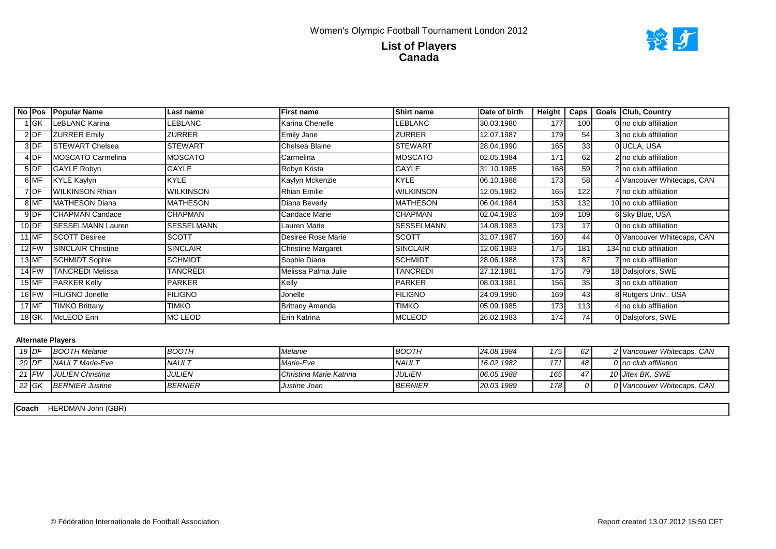

|         | No Pos Popular Name      | Last name         | <b>First name</b>         | <b>Shirt name</b> | Date of birth | Height | Caps | Goals Club, Country        |
|---------|--------------------------|-------------------|---------------------------|-------------------|---------------|--------|------|----------------------------|
| 1 GK    | LeBLANC Karina           | LEBLANC           | Karina Chenelle           | <b>LEBLANC</b>    | 30.03.1980    | 177    | 100  | 0 no club affiliation      |
| $2$ DF  | <b>ZURRER Emily</b>      | ZURRER            | <b>Emily Jane</b>         | <b>ZURRER</b>     | 12.07.1987    | 179    | 54   | 3 no club affiliation      |
| 3 DF    | <b>STEWART Chelsea</b>   | <b>STEWART</b>    | Chelsea Blaine            | <b>STEWART</b>    | 28.04.1990    | 165    | 33   | 0 UCLA, USA                |
| $4$ DF  | MOSCATO Carmelina        | <b>MOSCATO</b>    | Carmelina                 | <b>MOSCATO</b>    | 02.05.1984    | 171    | 62   | 2 no club affiliation      |
| $5$ DF  | <b>GAYLE Robyn</b>       | GAYLE             | Robyn Krista              | <b>GAYLE</b>      | 31.10.1985    | 168    | 59   | 2 no club affiliation      |
| 6 MF    | <b>KYLE Kaylyn</b>       | <b>KYLE</b>       | Kaylyn Mckenzie           | <b>KYLE</b>       | 06.10.1988    | 173    | 58   | 4 Vancouver Whitecaps, CAN |
| 7DF     | <b>WILKINSON Rhian</b>   | <b>WILKINSON</b>  | <b>Rhian Emilie</b>       | <b>WILKINSON</b>  | 12.05.1982    | 165    | 122  | 7 no club affiliation      |
| 8 MF    | MATHESON Diana           | MATHESON          | Diana Beverly             | <b>MATHESON</b>   | 06.04.1984    | 153    | 132  | 10 no club affiliation     |
| $9$ DF  | <b>ICHAPMAN Candace</b>  | <b>CHAPMAN</b>    | Candace Marie             | <b>CHAPMAN</b>    | 02.04.1983    | 169    | 109  | 6 Sky Blue, USA            |
| $10$ DF | <b>SESSELMANN Lauren</b> | <b>SESSELMANN</b> | Lauren Marie              | SESSELMANN        | 14.08.1983    | 173    | 17   | 0 no club affiliation      |
| 11 MF   | <b>SCOTT Desiree</b>     | <b>SCOTT</b>      | Desiree Rose Marie        | <b>SCOTT</b>      | 31.07.1987    | 160    | 44   | 0 Vancouver Whitecaps, CAN |
| $12$ FW | SINCLAIR Christine       | <b>SINCLAIR</b>   | <b>Christine Margaret</b> | <b>SINCLAIR</b>   | 12.06.1983    | 175    | 181  | 134 no club affiliation    |
| $13$ MF | <b>SCHMIDT Sophie</b>    | <b>SCHMIDT</b>    | Sophie Diana              | <b>SCHMIDT</b>    | 28.06.1988    | 173    | 87   | 7 no club affiliation      |
| $14$ FW | <b>TANCREDI Melissa</b>  | TANCREDI          | Melissa Palma Julie       | <b>TANCREDI</b>   | 27.12.1981    | 175    | 79   | 18 Dalsjofors, SWE         |
| $15$ MF | <b>PARKER Kelly</b>      | <b>PARKER</b>     | Kelly                     | <b>PARKER</b>     | 08.03.1981    | 156    | 35   | 3 no club affiliation      |
| $16$ FW | FILIGNO Jonelle          | FILIGNO           | Jonelle                   | <b>FILIGNO</b>    | 24.09.1990    | 169    | 43   | 8 Rutgers Univ., USA       |
| 17 MF   | TIMKO Brittany           | timko             | <b>Brittany Amanda</b>    | TIMKO             | 05.09.1985    | 173    | 113  | 4 no club affiliation      |
| $18$ GK | McLEOD Erin              | MC LEOD           | Erin Katrina              | <b>MCLEOD</b>     | 26.02.1983    | 174    | 74   | 0 Dalsjofors, SWE          |

| 19 DF |               | <b>BOOTH Melanie</b>    | <b>BOOTH</b>         | Melanie                        | <b>BOOTH</b>   | 24.08.1984 | 175  | 62 | ?   Vancouver Whitecaps, CAN |
|-------|---------------|-------------------------|----------------------|--------------------------------|----------------|------------|------|----|------------------------------|
|       | 20 DF         | <b>INAULT Marie-Eve</b> | <b>NAUL7</b>         | Marie-Eve                      | <b>NAUL</b>    | 16.02.1982 | 171. | 48 | 0 no club affiliation        |
|       | 21 <b>F</b> W | <b>JULIEN Christina</b> | <i><b>JULIEN</b></i> | <b>Christina Marie Katrina</b> | <i>JULIEN</i>  | 06.05.1988 | 165. | 47 | 10 Jitex BK, SWE             |
|       | 22 GK         | <b>BERNIER Justine</b>  | <b>BERNIER</b>       | Justine Joan                   | <b>BERNIER</b> | 20.03.1989 | 178  | ΩI | 0 Vancouver Whitecaps, CAN   |

HERDMAN John (GBR) **Coach**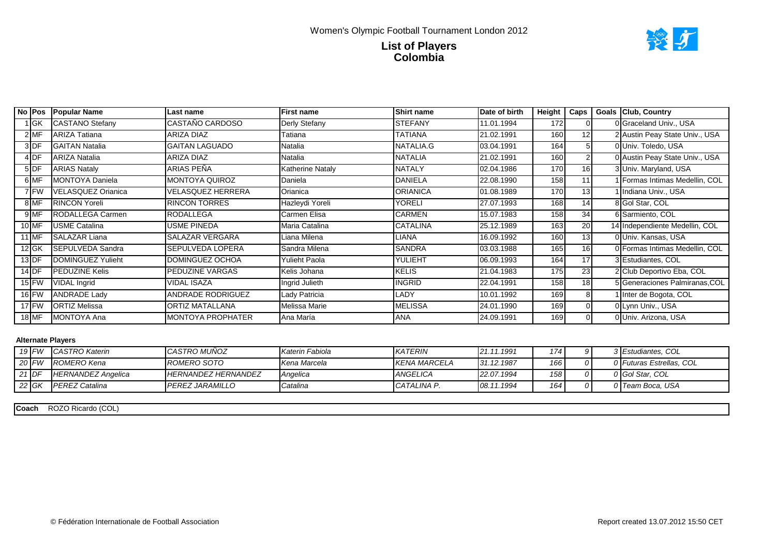

|         | No Pos          | <b>Popular Name</b>       | Last name                | <b>First name</b> | <b>Shirt name</b> | Date of birth | Height     | Caps | <b>Goals Club, Country</b>     |
|---------|-----------------|---------------------------|--------------------------|-------------------|-------------------|---------------|------------|------|--------------------------------|
|         | <b>IGK</b>      | <b>CASTANO Stefany</b>    | CASTAÑO CARDOSO          | Derly Stefany     | <b>STEFANY</b>    | 11.01.1994    | 172        |      | 0 Graceland Univ., USA         |
|         | $2$ MF          | <b>ARIZA Tatiana</b>      | <b>ARIZA DIAZ</b>        | Tatiana           | TATIANA           | 21.02.1991    | 160        | 12   | 2 Austin Peay State Univ., USA |
|         | 3DF             | <b>GAITAN Natalia</b>     | <b>GAITAN LAGUADO</b>    | Natalia           | NATALIA.G         | 03.04.1991    | 164        |      | 0 Univ. Toledo, USA            |
|         | 4 <sub>DF</sub> | <b>ARIZA Natalia</b>      | <b>ARIZA DIAZ</b>        | Natalia           | <b>NATALIA</b>    | 21.02.1991    | 160        |      | 0 Austin Peay State Univ., USA |
|         | 5DF             | <b>ARIAS Nataly</b>       | ARIAS PEÑA               | Katherine Nataly  | <b>NATALY</b>     | 02.04.1986    | 170        | 16   | 3 Univ. Maryland, USA          |
|         | 6MF             | <b>MONTOYA Daniela</b>    | <b>MONTOYA QUIROZ</b>    | Daniela           | <b>DANIELA</b>    | 22.08.1990    | 158        | 11   | 1 Formas Intimas Medellin, COL |
|         | 7 FW            | <b>VELASQUEZ Orianica</b> | VELASQUEZ HERRERA        | Orianica          | <b>ORIANICA</b>   | 01.08.1989    | <b>170</b> | 13   | I Indiana Univ., USA           |
|         | 8 MF            | <b>RINCON Yoreli</b>      | <b>RINCON TORRES</b>     | Hazleydi Yoreli   | YORELI            | 27.07.1993    | 168        | 14   | 8 Gol Star, COL                |
|         | 9 MF            | RODALLEGA Carmen          | RODALLEGA                | Carmen Elisa      | <b>CARMEN</b>     | 15.07.1983    | 158        | 34   | 6 Sarmiento, COL               |
|         | 10 MF           | <b>USME Catalina</b>      | USME PINEDA              | Maria Catalina    | <b>CATALINA</b>   | 25.12.1989    | 163        | 20   | 14 Independiente Medellin, COL |
|         | 11 MF           | <b>SALAZAR Liana</b>      | <b>SALAZAR VERGARA</b>   | Liana Milena      | LIANA             | 16.09.1992    | 160        | 13   | 0 Univ. Kansas, USA            |
|         | $12$ GK         | SEPULVEDA Sandra          | SEPULVEDA LOPERA         | Sandra Milena     | <b>SANDRA</b>     | 03.03.1988    | 165        | 16   | 0 Formas Intimas Medellin, COL |
| $13$ DF |                 | DOMINGUEZ Yulieht         | DOMINGUEZ OCHOA          | Yulieht Paola     | YULIEHT           | 06.09.1993    | 164        | 17   | 3 Estudiantes, COL             |
|         | $14$ DF         | PEDUZINE Kelis            | PEDUZINE VARGAS          | Kelis Johana      | <b>KELIS</b>      | 21.04.1983    | 175        | 23   | 2 Club Deportivo Eba, COL      |
|         | $15$ FW         | <b>VIDAL Ingrid</b>       | VIDAL ISAZA              | Ingrid Julieth    | <b>INGRID</b>     | 22.04.1991    | 158        | 18   | 5 Generaciones Palmiranas, COL |
|         | 16 FW           | <b>ANDRADE Lady</b>       | ANDRADE RODRIGUEZ        | Lady Patricia     | LADY              | 10.01.1992    | 169        | 8    | Inter de Bogota, COL           |
|         | $17$ FW         | <b>ORTIZ Melissa</b>      | ORTIZ MATALLANA          | Melissa Marie     | <b>MELISSA</b>    | 24.01.1990    | 169        |      | 0 Lynn Univ., USA              |
|         | 18 MF           | <b>IMONTOYA Ana</b>       | <b>MONTOYA PROPHATER</b> | Ana María         | <b>ANA</b>        | 24.09.1991    | 169        |      | 0 Univ. Arizona, USA           |

|         | $19$ FW | <b>CASTRO Katerin</b>     | <b>I</b> CASTRO MUÑOZ      | Katerin Fabiola   | <b>KATERIN</b> | 21.11.1991 | 174 <sub>1</sub> | ΩI     | 3 Estudiantes, COL       |
|---------|---------|---------------------------|----------------------------|-------------------|----------------|------------|------------------|--------|--------------------------|
| 20 FW   |         | ROMERO Kena               | ROMERO SOTO                | Kena Marcela      | KENA MARCELA   | 31.12.1987 | 166              | ∩∎     | 0 Futuras Estrellas, COL |
| $21$ DF |         | <b>HERNANDEZ Angelica</b> | <b>HERNANDEZ HERNANDEZ</b> | <b>I</b> Anaelica | ANGELICA       | 22.07.1994 | 158              | $\cap$ | 0 Gol Star, COL          |
| $22$ GK |         | <b>IPEREZ Catalina</b>    | <b>IPEREZ JARAMILLO</b>    | Catalina          | CATALINA P.    | 08.11.1994 | 164              | ∩∎     | 0 Team Boca, USA         |

**Coach** ROZO Ricardo (COL)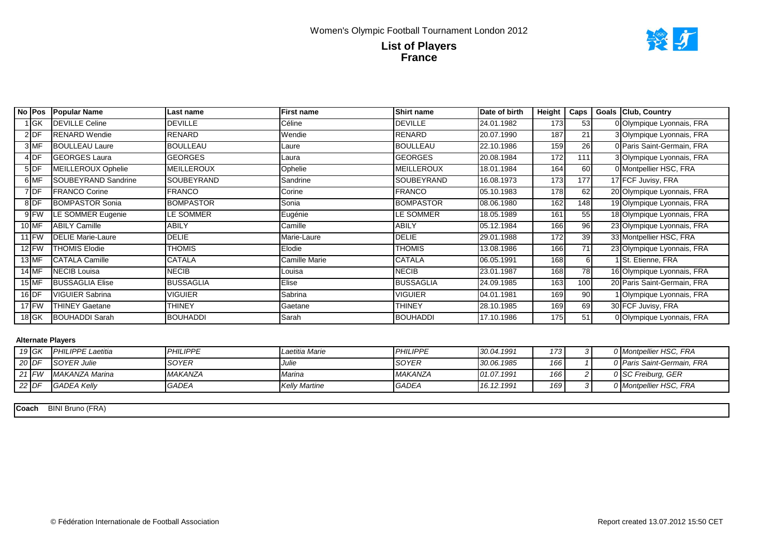

|         | No Pos Popular Name        | Last name        | First name    | <b>Shirt name</b> | Date of birth | Height | Caps | <b>Goals Club, Country</b>     |
|---------|----------------------------|------------------|---------------|-------------------|---------------|--------|------|--------------------------------|
| 1 GK    | <b>IDEVILLE Celine</b>     | <b>DEVILLE</b>   | Céline        | <b>DEVILLE</b>    | 24.01.1982    | 173    | 53   | 0 Olympique Lyonnais, FRA      |
| $2$ DF  | <b>RENARD Wendie</b>       | <b>RENARD</b>    | Wendie        | <b>RENARD</b>     | 20.07.1990    | 187    | 21   | 3 Olympique Lyonnais, FRA      |
| 3 MF    | <b>BOULLEAU Laure</b>      | <b>BOULLEAU</b>  | Laure         | <b>BOULLEAU</b>   | 22.10.1986    | 159    | 26   | 0 Paris Saint-Germain, FRA     |
| $4$ DF  | <b>GEORGES Laura</b>       | <b>GEORGES</b>   | Laura         | <b>GEORGES</b>    | 20.08.1984    | 172    | 111  | 3 Olympique Lyonnais, FRA      |
| $5$ DF  | MEILLEROUX Ophelie         | MEILLEROUX       | Ophelie       | <b>MEILLEROUX</b> | 18.01.1984    | 164    | 60   | 0 Montpellier HSC, FRA         |
| 6 MF    | <b>SOUBEYRAND Sandrine</b> | SOUBEYRAND       | Sandrine      | <b>SOUBEYRAND</b> | 16.08.1973    | 173    | 177  | 17 FCF Juvisy, FRA             |
| 7 DF    | <b>IFRANCO Corine</b>      | <b>FRANCO</b>    | Corine        | <b>FRANCO</b>     | 05.10.1983    | 178    | 62   | 20 Olympique Lyonnais, FRA     |
| 8DF     | <b>BOMPASTOR Sonia</b>     | <b>BOMPASTOR</b> | Sonia         | <b>BOMPASTOR</b>  | 08.06.1980    | 162    | 148  | 19 Olympique Lyonnais, FRA     |
| 9FW     | LE SOMMER Eugenie          | LE SOMMER        | Eugénie       | <b>LE SOMMER</b>  | 18.05.1989    | 161    | 55   | 18 Olympique Lyonnais, FRA     |
| $10$ MF | <b>ABILY Camille</b>       | <b>ABILY</b>     | Camille       | <b>ABILY</b>      | 05.12.1984    | 166    | 96   | 23 Olympique Lyonnais, FRA     |
| $11$ FW | <b>DELIE Marie-Laure</b>   | <b>DELIE</b>     | Marie-Laure   | <b>DELIE</b>      | 29.01.1988    | 172    | 39   | 33 Montpellier HSC, FRA        |
| $12$ FW | THOMIS Elodie              | THOMIS           | Elodie        | <b>THOMIS</b>     | 13.08.1986    | 166    | 71   | 23 Olympique Lyonnais, FRA     |
| 13 MF   | CATALA Camille             | CATALA           | Camille Marie | <b>CATALA</b>     | 06.05.1991    | 168    | 61   | St. Etienne, FRA               |
| 14 MF   | NECIB Louisa               | NECIB            | Louisa        | <b>NECIB</b>      | 23.01.1987    | 168    | 78   | 16 Olympique Lyonnais, FRA     |
| 15 MF   | <b>BUSSAGLIA Elise</b>     | <b>BUSSAGLIA</b> | Elise         | <b>BUSSAGLIA</b>  | 24.09.1985    | 163    | 100  | 20 Paris Saint-Germain, FRA    |
| $16$ DF | <b>VIGUIER Sabrina</b>     | VIGUIER          | Sabrina       | VIGUIER           | 04.01.1981    | 169    | 90   | <b>Olympique Lyonnais, FRA</b> |
| $17$ FW | <b>THINEY Gaetane</b>      | THINEY           | Gaetane       | <b>THINEY</b>     | 28.10.1985    | 169    | 69   | 30 FCF Juvisy, FRA             |
| $18$ GK | <b>BOUHADDI Sarah</b>      | <b>BOUHADDI</b>  | Sarah         | <b>BOUHADDI</b>   | 17.10.1986    | 175    | 51   | 0 Olympique Lyonnais, FRA      |

|         | $19$ GK | <b>PHILIPPE Laetitia</b> | PHILIPPE        | Laetitia Marie       | <b>PHILIPPE</b> | 30.04.1991 | 173 |  | 0 Montpellier HSC, FRA     |
|---------|---------|--------------------------|-----------------|----------------------|-----------------|------------|-----|--|----------------------------|
| $20$ DF |         | <b>SOYER Julie</b>       | <b>SOYER</b>    | Julie                | <b>SOYER</b>    | 30.06.1985 | 166 |  | 0 Paris Saint-Germain, FRA |
| 21 $FW$ |         | MAKANZA Marina           | <b>IMAKANZA</b> | Marina               | <b>MAKANZA</b>  | 01.07.1991 | 166 |  | 0 SC Freiburg, GER         |
| 22 DF   |         | <b>GADEA Kelly</b>       | <b>GADEA</b>    | <b>Kelly Martine</b> | <b>GADEA</b>    | 16.12.1991 | 169 |  | 0 Montpellier HSC, FRA     |

**Coach** BINI Bruno (FRA)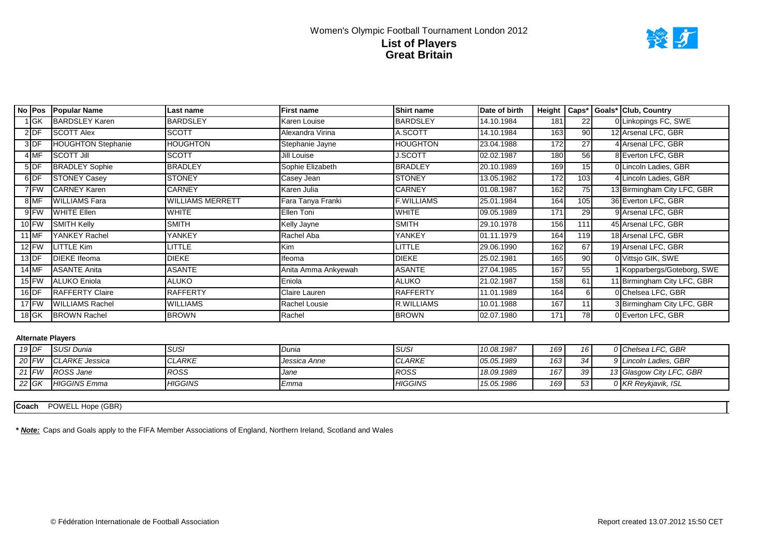

|           | No Pos Popular Name       | Last name        | First name          | Shirt name      | Date of birth |     |     | Height   Caps*   Goals*   Club, Country |
|-----------|---------------------------|------------------|---------------------|-----------------|---------------|-----|-----|-----------------------------------------|
| ∣GK       | <b>BARDSLEY Karen</b>     | <b>BARDSLEY</b>  | Karen Louise        | <b>BARDSLEY</b> | 14.10.1984    | 181 | 22  | 0 Linkopings FC, SWE                    |
| 2 DF      | <b>SCOTT Alex</b>         | <b>SCOTT</b>     | Alexandra Virina    | A.SCOTT         | 14.10.1984    | 163 | 90  | 12 Arsenal LFC, GBR                     |
| 3DF       | <b>HOUGHTON Stephanie</b> | <b>HOUGHTON</b>  | Stephanie Jayne     | HOUGHTON        | 23.04.1988    | 172 | 27  | 4 Arsenal LFC, GBR                      |
| 4 MF      | <b>SCOTT Jill</b>         | <b>SCOTT</b>     | Jill Louise         | <b>J.SCOTT</b>  | 02.02.1987    | 180 | 56  | 8 Everton LFC, GBR                      |
| 5DF       | <b>BRADLEY Sophie</b>     | <b>BRADLEY</b>   | Sophie Elizabeth    | <b>BRADLEY</b>  | 20.10.1989    | 169 | 15  | 0 Lincoln Ladies, GBR                   |
| 6DF       | <b>STONEY Casey</b>       | <b>STONEY</b>    | Casey Jean          | <b>STONEY</b>   | 13.05.1982    | 172 | 103 | 4 Lincoln Ladies, GBR                   |
| 7 FW      | <b>CARNEY Karen</b>       | CARNEY           | Karen Julia         | <b>CARNEY</b>   | 01.08.1987    | 162 | 75  | 13 Birmingham City LFC, GBR             |
| 8 MF      | <b>WILLIAMS Fara</b>      | WILLIAMS MERRETT | Fara Tanya Franki   | F.WILLIAMS      | 25.01.1984    | 164 | 105 | 36 Everton LFC, GBR                     |
| 9 FW      | <b>WHITE Ellen</b>        | WHITE            | Ellen Toni          | <b>WHITE</b>    | 09.05.1989    | 171 | 29  | 9 Arsenal LFC, GBR                      |
| $10$ FW   | <b>SMITH Kelly</b>        | <b>SMITH</b>     | Kelly Jayne         | <b>SMITH</b>    | 29.10.1978    | 156 | 111 | 45 Arsenal LFC, GBR                     |
| 1 MF      | YANKEY Rachel             | YANKEY           | Rachel Aba          | YANKEY          | 01.11.1979    | 164 | 119 | 18 Arsenal LFC, GBR                     |
| $12$ FW   | <b>LITTLE Kim</b>         | LITTLE           | Kim                 | LITTLE          | 29.06.1990    | 162 | 67  | 19 Arsenal LFC, GBR                     |
| $13$ DF   | <b>DIEKE</b> Ifeoma       | <b>DIEKE</b>     | Ifeoma              | DIEKE           | 25.02.1981    | 165 | 90  | 0 Vittsjo GIK, SWE                      |
| 14 MF     | <b>ASANTE Anita</b>       | <b>ASANTE</b>    | Anita Amma Ankyewah | <b>ASANTE</b>   | 27.04.1985    | 167 | 55  | 1 Kopparbergs/Goteborg, SWE             |
| $15$ FW   | ALUKO Eniola              | <b>ALUKO</b>     | Eniola              | <b>ALUKO</b>    | 21.02.1987    | 158 | 61  | 11 Birmingham City LFC, GBR             |
| $16$ DF   | <b>RAFFERTY Claire</b>    | <b>RAFFERTY</b>  | Claire Lauren       | <b>RAFFERTY</b> | 11.01.1989    | 164 |     | 0 Chelsea LFC, GBR                      |
| $17$ FW   | <b>WILLIAMS Rachel</b>    | <b>WILLIAMS</b>  | Rachel Lousie       | R.WILLIAMS      | 10.01.1988    | 167 | 11  | 3 Birmingham City LFC, GBR              |
| $18$ $GK$ | <b>BROWN Rachel</b>       | <b>BROWN</b>     | Rachel              | <b>BROWN</b>    | 02.07.1980    | 171 | 78  | 0 Everton LFC, GBR                      |

| $19$ DF | <b>ISUSI Dunia</b>     | <b>SUSI</b>    | Dunia        | <b>SUSI</b>    | 10.08.1987 | 169 | 16 <sup>1</sup> | 0 Chelsea LFC, GBR       |
|---------|------------------------|----------------|--------------|----------------|------------|-----|-----------------|--------------------------|
| 20 FW   | <b>ICLARKE Jessica</b> | <b>CLARKE</b>  | Jessica Anne | <b>CLARKE</b>  | 05.05.1989 | 163 | 34              | 9 Lincoln Ladies, GBR    |
| $21$ FW | ROSS Jane              | <b>ROSS</b>    | Jane         | ROSS           | 18.09.1989 | 167 | 39 <sub>l</sub> | 13 Glasgow City LFC, GBR |
| $22$ GK | <b>HIGGINS</b> Emma    | <b>HIGGINS</b> | Emma         | <b>HIGGINS</b> | 15.05.1986 | 169 | 53 <sub>1</sub> | 0 KR Reykjavik, ISL      |

Coach POWELL Hope (GBR)

**\*** *Note:* Caps and Goals apply to the FIFA Member Associations of England, Northern Ireland, Scotland and Wales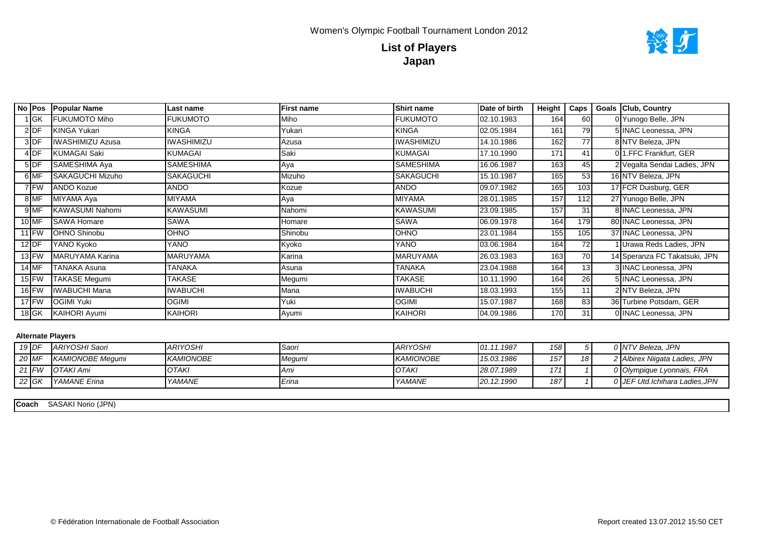

| No IPos | <b>Popular Name</b>     | Last name         | <b>First name</b> | <b>Shirt name</b> | Date of birth | Height | Caps | <b>Goals Club, Country</b>    |
|---------|-------------------------|-------------------|-------------------|-------------------|---------------|--------|------|-------------------------------|
| 1 GK    | <b>FUKUMOTO Miho</b>    | <b>FUKUMOTO</b>   | Miho              | <b>FUKUMOTO</b>   | 02.10.1983    | 164    | 60   | 0 Yunogo Belle, JPN           |
| 2DF     | KINGA Yukari            | <b>KINGA</b>      | Yukari            | <b>KINGA</b>      | 02.05.1984    | 161    | 79   | 5 INAC Leonessa, JPN          |
| 3DF     | <b>IWASHIMIZU Azusa</b> | <b>IWASHIMIZU</b> | Azusa             | <b>IWASHIMIZU</b> | 14.10.1986    | 162    | 77   | 8 NTV Beleza, JPN             |
| 4DF     | KUMAGAI Saki            | <b>KUMAGAI</b>    | Saki              | <b>KUMAGAI</b>    | 17.10.1990    | 171    | 41   | 0 1.FFC Frankfurt, GER        |
| 5 DF    | SAMESHIMA Aya           | <b>SAMESHIMA</b>  | Aya               | <b>SAMESHIMA</b>  | 16.06.1987    | 163    | 45   | 2 Vegalta Sendai Ladies, JPN  |
| 6 MF    | <b>SAKAGUCHI Mizuho</b> | <b>SAKAGUCHI</b>  | Mizuho            | <b>SAKAGUCHI</b>  | 15.10.1987    | 165    | 53   | 16 NTV Beleza, JPN            |
| 7 FW    | <b>ANDO Kozue</b>       | ANDO              | Kozue             | <b>ANDO</b>       | 09.07.1982    | 165    | 103  | 17 FCR Duisburg, GER          |
| 8MF     | MIYAMA Aya              | MIYAMA            | Aya               | <b>MIYAMA</b>     | 28.01.1985    | 157    | 112  | 27 Yunogo Belle, JPN          |
| 9MF     | <b>KAWASUMI Nahomi</b>  | <b>KAWASUMI</b>   | Nahomi            | <b>KAWASUMI</b>   | 23.09.1985    | 157    | 31   | 8 INAC Leonessa, JPN          |
| 10 MF   | <b>SAWA Homare</b>      | SAWA              | Homare            | <b>SAWA</b>       | 06.09.1978    | 164    | 179  | 80 INAC Leonessa, JPN         |
| $11$ FW | <b>OHNO Shinobu</b>     | OHNO              | Shinobu           | OHNO              | 23.01.1984    | 155    | 105  | 37 INAC Leonessa, JPN         |
| $12$ DF | YANO Kyoko              | YANO              | Kyoko             | YANO              | 03.06.1984    | 164    | 72   | 1 Urawa Reds Ladies, JPN      |
| $13$ FW | <b>IMARUYAMA Karina</b> | MARUYAMA          | Karina            | <b>MARUYAMA</b>   | 26.03.1983    | 163    | 70   | 14 Speranza FC Takatsuki, JPN |
| $14$ MF | <b>TANAKA Asuna</b>     | TANAKA            | Asuna             | <b>TANAKA</b>     | 23.04.1988    | 164    | 13   | 3 INAC Leonessa, JPN          |
| $15$ FW | <b>TAKASE Megumi</b>    | TAKASE            | Megumi            | <b>TAKASE</b>     | 10.11.1990    | 164    | 26   | 5 INAC Leonessa, JPN          |
| $16$ FW | <b>IWABUCHI Mana</b>    | <b>IWABUCHI</b>   | Mana              | <b>IWABUCHI</b>   | 18.03.1993    | 155    | 11   | 2 NTV Beleza, JPN             |
| $17$ FW | <b>OGIMI Yuki</b>       | OGIMI             | Yuki              | <b>OGIMI</b>      | 15.07.1987    | 168    | 83   | 36 Turbine Potsdam, GER       |
| $18$ GK | KAIHORI Ayumi           | <b>KAIHORI</b>    | Ayumi             | <b>KAIHORI</b>    | 04.09.1986    | 170    | 31   | 0 INAC Leonessa, JPN          |

| $19$ DF | ARIYOSHI Saori            | <b>ARIYOSHI</b>  | Saori  | <b>ARIYOSHI</b>  | 01.11.1987 | 158 |    | 0 INTV Beleza. JPN            |
|---------|---------------------------|------------------|--------|------------------|------------|-----|----|-------------------------------|
| 20 MF   | <b>I KAMIONOBE Meaumi</b> | <b>KAMIONOBE</b> | Megumi | <b>KAMIONOBE</b> | 15.03.1986 | 157 | 18 | 2 Albirex Niigata Ladies, JPN |
| 21 $FW$ | <b>OTAKI Ami</b>          | <b>IOTAKI</b>    | ∎Ami   | <b>OTAKI</b>     | 28.07.1989 | 171 |    | 0 Olympique Lyonnais, FRA     |
| 22 GK   | <i>NAMANE Erina</i>       | YAMANE           | Erina  | YAMANE           | 20.12.1990 | 187 |    | 0 JEF Utd.Ichihara Ladies,JPN |

SASAKI Norio (JPN) **Coach**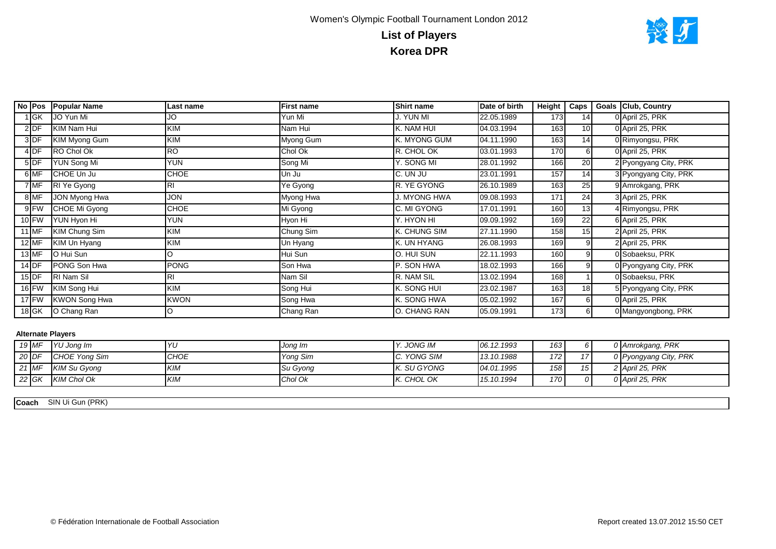

|            | No Pos Popular Name  | Last name      | <b>First name</b> | <b>Shirt name</b> | Date of birth | Height | I Caps I        | <b>Goals Club, Country</b> |
|------------|----------------------|----------------|-------------------|-------------------|---------------|--------|-----------------|----------------------------|
| <b>IGK</b> | JO Yun Mi            | JO             | Yun Mi            | J. YUN MI         | 22.05.1989    | 173    | 14              | 0 April 25, PRK            |
| $2$ DF     | KIM Nam Hui          | KIM            | Nam Hui           | K. NAM HUI        | 04.03.1994    | 163    | 10              | 0 April 25, PRK            |
| 3DF        | KIM Myong Gum        | KIM            | Myong Gum         | K. MYONG GUM      | 04.11.1990    | 163    | 14              | 0 Rimyongsu, PRK           |
| $4$ DF     | RO Chol Ok           | <b>RO</b>      | Chol Ok           | R. CHOL OK        | 03.01.1993    | 170    |                 | 0 April 25, PRK            |
| $5$ DF     | <b>YUN Song Mi</b>   | <b>YUN</b>     | Song Mi           | Y. SONG MI        | 28.01.1992    | 166    | 20              | 2 Pyongyang City, PRK      |
| 6 MF       | CHOE Un Ju           | CHOE           | Un Ju             | C. UN JU          | 23.01.1991    | 157    | 14              | 3 Pyongyang City, PRK      |
| 7 MF       | RI Ye Gyong          | R <sub>l</sub> | Ye Gyong          | R. YE GYONG       | 26.10.1989    | 163    | 25              | 9 Amrokgang, PRK           |
| 8 MF       | JON Myong Hwa        | <b>JON</b>     | Myong Hwa         | . MYONG HWA       | 09.08.1993    | 171    | 24              | 3 April 25, PRK            |
| 9 FW       | CHOE Mi Gyong        | CHOE           | Mi Gyong          | C. MI GYONG       | 17.01.1991    | 160    | 13              | 4 Rimyongsu, PRK           |
| $10$ FW    | YUN Hyon Hi          | <b>YUN</b>     | Hyon Hi           | Y. HYON HI        | 09.09.1992    | 169    | 22              | 6 April 25, PRK            |
| 11 MF      | KIM Chung Sim        | KIM            | Chung Sim         | K. CHUNG SIM      | 27.11.1990    | 158    | 15 <sub>l</sub> | 2 April 25, PRK            |
| $12$ MF    | KIM Un Hyang         | <b>KIM</b>     | Un Hyang          | K. UN HYANG       | 26.08.1993    | 169    |                 | 2 April 25, PRK            |
| $13$ MF    | O Hui Sun            | O              | Hui Sun           | O. HUI SUN        | 22.11.1993    | 160    |                 | 0 Sobaeksu, PRK            |
| $14$ DF    | PONG Son Hwa         | <b>PONG</b>    | Son Hwa           | P. SON HWA        | 18.02.1993    | 166    |                 | 0 Pyongyang City, PRK      |
| $15$ DF    | RI Nam Sil           | <b>RI</b>      | Nam Sil           | R. NAM SIL        | 13.02.1994    | 168    |                 | 0 Sobaeksu, PRK            |
| $16$ FW    | KIM Song Hui         | KIM            | Song Hui          | K. SONG HUI       | 23.02.1987    | 163    | 18              | 5 Pyongyang City, PRK      |
| $17$ FW    | <b>KWON Song Hwa</b> | <b>KWON</b>    | Song Hwa          | K. SONG HWA       | 05.02.1992    | 167    | 61              | 0 April 25, PRK            |
| $18$ GK    | O Chang Ran          |                | Chang Ran         | O. CHANG RAN      | 05.09.1991    | 173    | 61              | 0 Mangyongbong, PRK        |

| $19$ MF | YU Jong Im          | Yl          | Jong Im   | . JONG IM   | 06.12.1993 | 163              | n i            | 0 Amrokgang, PRK      |
|---------|---------------------|-------------|-----------|-------------|------------|------------------|----------------|-----------------------|
| $20$ DF | CHOE Yong Sim       | <b>CHOE</b> | Yong Sim  | C. YONG SIM | 13.10.1988 | 172 <sub>1</sub> |                | 0 Pyongyang City, PRK |
| $21$ MF | <b>KIM Su Gyong</b> | <b>KIM</b>  | 'Su Gyong | K. SU GYONG | 04.01.1995 | 158              | $\overline{ }$ | 2 April 25, PRK       |
| 22 $GK$ | <b>KIM Chol Ok</b>  | <b>KIM</b>  | Chol Ok   | K. CHOL OK  | 15.10.1994 | 170              | $\Omega$       | 0 April 25, PRK       |

Coach SIN Ui Gun (PRK)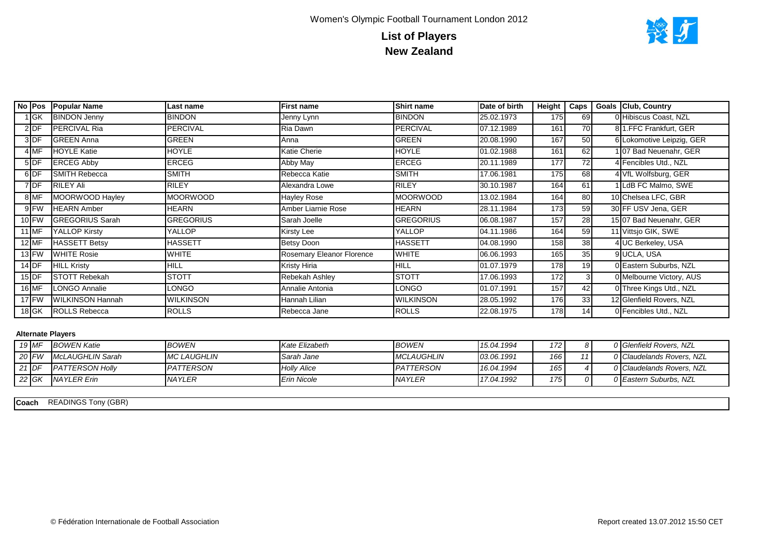

|         | No Pos Popular Name     | Last name        | First name                | <b>Shirt name</b> | Date of birth | Height   Caps |    | Goals Club, Country       |
|---------|-------------------------|------------------|---------------------------|-------------------|---------------|---------------|----|---------------------------|
| ∣lGK    | <b>BINDON Jenny</b>     | <b>BINDON</b>    | Jenny Lynn                | <b>BINDON</b>     | 25.02.1973    | 175           | 69 | 0 Hibiscus Coast, NZL     |
| $2$ DF  | <b>PERCIVAL Ria</b>     | <b>PERCIVAL</b>  | Ria Dawn                  | <b>PERCIVAL</b>   | 07.12.1989    | 161           | 70 | 81.FFC Frankfurt, GER     |
| 3DF     | <b>GREEN Anna</b>       | GREEN            | Anna                      | GREEN             | 20.08.1990    | 167           | 50 | 6 Lokomotive Leipzig, GER |
| 4 MF    | <b>HOYLE Katie</b>      | <b>HOYLE</b>     | Katie Cherie              | <b>HOYLE</b>      | 01.02.1988    | 161           | 62 | 07 Bad Neuenahr, GER      |
| $5$ DF  | <b>ERCEG Abby</b>       | <b>ERCEG</b>     | Abby May                  | <b>ERCEG</b>      | 20.11.1989    | 177           | 72 | 4 Fencibles Utd., NZL     |
| 6DF     | <b>SMITH Rebecca</b>    | <b>SMITH</b>     | Rebecca Katie             | <b>SMITH</b>      | 17.06.1981    | 175           | 68 | 4 VfL Wolfsburg, GER      |
| 7DF     | <b>RILEY Ali</b>        | <b>RILEY</b>     | Alexandra Lowe            | <b>RILEY</b>      | 30.10.1987    | 164           | 61 | LdB FC Malmo, SWE         |
| 8 MF    | MOORWOOD Hayley         | <b>MOORWOOD</b>  | Hayley Rose               | <b>MOORWOOD</b>   | 13.02.1984    | 164           | 80 | 10 Chelsea LFC, GBR       |
| 9 FW    | <b>HEARN</b> Amber      | <b>HEARN</b>     | Amber Liarnie Rose        | <b>HEARN</b>      | 28.11.1984    | 173           | 59 | 30 FF USV Jena, GER       |
| $10$ FW | <b>IGREGORIUS Sarah</b> | <b>GREGORIUS</b> | Sarah Joelle              | <b>GREGORIUS</b>  | 06.08.1987    | 157           | 28 | 15 07 Bad Neuenahr, GER   |
| 11 MF   | YALLOP Kirsty           | YALLOP           | Kirsty Lee                | <b>YALLOP</b>     | 04.11.1986    | 164           | 59 | 11 Vittsjo GIK, SWE       |
| $12$ MF | <b>HASSETT Betsy</b>    | <b>HASSETT</b>   | Betsy Doon                | <b>HASSETT</b>    | 04.08.1990    | 158           | 38 | 4 UC Berkeley, USA        |
| $13$ FW | <b>WHITE Rosie</b>      | <b>WHITE</b>     | Rosemary Eleanor Florence | <b>WHITE</b>      | 06.06.1993    | 165           | 35 | 9 UCLA, USA               |
| $14$ DF | <b>HILL Kristy</b>      | <b>HILL</b>      | Kristy Hiria              | <b>HILL</b>       | 01.07.1979    | 178           | 19 | 0 Eastern Suburbs, NZL    |
| $15$ DF | <b>STOTT Rebekah</b>    | <b>STOTT</b>     | Rebekah Ashley            | <b>STOTT</b>      | 17.06.1993    | 172           |    | 0 Melbourne Victory, AUS  |
| 16 MF   | <b>ILONGO Annalie</b>   | <b>LONGO</b>     | Annalie Antonia           | <b>LONGO</b>      | 01.07.1991    | 157           | 42 | 0 Three Kings Utd., NZL   |
| 17 FW   | <b>WILKINSON Hannah</b> | <b>WILKINSON</b> | Hannah Lilian             | <b>WILKINSON</b>  | 28.05.1992    | 176           | 33 | 12 Glenfield Rovers, NZL  |
| $18$ GK | <b>ROLLS Rebecca</b>    | <b>ROLLS</b>     | Rebecca Jane              | <b>ROLLS</b>      | 22.08.1975    | 178           | 14 | 0 Fencibles Utd., NZL     |

|         | 19 MF   | <b>BOWEN Katie</b>      | <b>BOWEN</b>        | Kate Elizabeth     | <b>BOWEN</b>      | 15.04.1994 | 172 <sub>1</sub> | $\Omega$ | 0 Glenfield Rovers, NZL   |
|---------|---------|-------------------------|---------------------|--------------------|-------------------|------------|------------------|----------|---------------------------|
|         | $20$ FW | McLAUGHLIN Sarah        | <b>IMC LAUGHLIN</b> | Sarah Jane         | <b>MCLAUGHLIN</b> | 03.06.1991 | 166              |          | 0 Claudelands Rovers, NZL |
| $21$ DF |         | <b>IPATTERSON Holly</b> | PATTERSON           | <b>Holly Alice</b> | PATTERSON         | 16.04.1994 | 165              |          | 0 Claudelands Rovers, NZL |
|         | $22$ GK | <b>NAYLER Erin</b>      | <b>NAYLER</b>       | <b>Erin Nicole</b> | <b>NAYLER</b>     | 17.04.1992 | 175              | ∩∎       | 0 Eastern Suburbs, NZL    |

Coach READINGS Tony (GBR)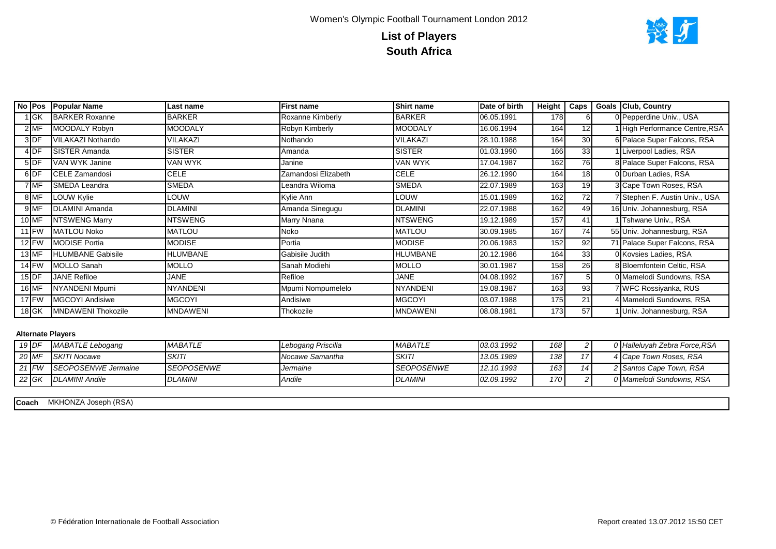

|                 | No Pos Popular Name      | Last name       | <b>First name</b>   | Shirt name      | Date of birth | Height | Caps            | <b>Goals Club, Country</b>     |
|-----------------|--------------------------|-----------------|---------------------|-----------------|---------------|--------|-----------------|--------------------------------|
| <b>IGK</b>      | <b>BARKER Roxanne</b>    | <b>BARKER</b>   | Roxanne Kimberly    | <b>BARKER</b>   | 06.05.1991    | 178    |                 | 0 Pepperdine Univ., USA        |
| $2$ MF          | MOODALY Robyn            | MOODALY         | Robyn Kimberly      | <b>MOODALY</b>  | 16.06.1994    | 164    | 12              | High Performance Centre, RSA   |
| 3DF             | VILAKAZI Nothando        | VILAKAZI        | Nothando            | VILAKAZI        | 28.10.1988    | 164    | 30 <sup>1</sup> | 6 Palace Super Falcons, RSA    |
| 4 <sub>DF</sub> | <b>I</b> SISTER Amanda   | <b>SISTER</b>   | Amanda              | <b>SISTER</b>   | 01.03.1990    | 166    | 33              | Liverpool Ladies, RSA          |
| $5$ DF          | VAN WYK Janine           | VAN WYK         | Janine              | VAN WYK         | 17.04.1987    | 162    | 76              | 8 Palace Super Falcons, RSA    |
| 6DF             | CELE Zamandosi           | <b>CELE</b>     | Zamandosi Elizabeth | <b>CELE</b>     | 26.12.1990    | 164    | 18 <sup>1</sup> | 0 Durban Ladies, RSA           |
| 7 MF            | SMEDA Leandra            | <b>SMEDA</b>    | Leandra Wiloma      | SMEDA           | 22.07.1989    | 163    | 19              | 3 Cape Town Roses, RSA         |
| 8 MF            | LOUW Kylie               | LOUW            | Kylie Ann           | LOUW            | 15.01.1989    | 162    | 72              | 7 Stephen F. Austin Univ., USA |
| 9MF             | <b>DLAMINI Amanda</b>    | <b>DLAMINI</b>  | Amanda Sinegugu     | <b>DLAMINI</b>  | 22.07.1988    | 162    | 49              | 16 Univ. Johannesburg, RSA     |
| $10$ MF         | <b>NTSWENG Marry</b>     | <b>NTSWENG</b>  | Marry Nnana         | <b>NTSWENG</b>  | 19.12.1989    | 157    | 41              | Tshwane Univ., RSA             |
| $11$ FW         | <b>IMATLOU Noko</b>      | MATLOU          | Noko                | <b>MATLOU</b>   | 30.09.1985    | 167    | 74              | 55 Univ. Johannesburg, RSA     |
| $12$ FW         | <b>MODISE Portia</b>     | <b>MODISE</b>   | Portia              | <b>MODISE</b>   | 20.06.1983    | 152    | 92              | 71 Palace Super Falcons, RSA   |
| 13 MF           | <b>HLUMBANE Gabisile</b> | HLUMBANE        | Gabisile Judith     | <b>HLUMBANE</b> | 20.12.1986    | 164    | 33              | 0 Kovsies Ladies, RSA          |
| $14$ FW         | <b>MOLLO Sanah</b>       | MOLLO           | Sanah Modiehi       | <b>MOLLO</b>    | 30.01.1987    | 158    | 26              | 8 Bloemfontein Celtic, RSA     |
| $15$ DF         | <b>JANE Refiloe</b>      | JANE            | Refiloe             | <b>JANE</b>     | 04.08.1992    | 167    |                 | 0 Mamelodi Sundowns, RSA       |
| 16 MF           | NYANDENI Mpumi           | <b>NYANDENI</b> | Mpumi Nompumelelo   | <b>NYANDENI</b> | 19.08.1987    | 163    | 93              | 7 WFC Rossiyanka, RUS          |
| $17$ FW         | <b>IMGCOYI Andisiwe</b>  | MGCOYI          | Andisiwe            | <b>MGCOYI</b>   | 03.07.1988    | 175    | 21              | 4 Mamelodi Sundowns, RSA       |
| $18$ GK         | MNDAWENI Thokozile       | <b>MNDAWENI</b> | Thokozile           | <b>MNDAWENI</b> | 08.08.1981    | 173    | 57              | Univ. Johannesburg, RSA        |

| $19$ DF | MABATLE Lebogang           | <b>MABATLE</b>            | Lebogang Priscilla       | <b>MABATLE</b>            | 03.03.1992 | 168 |  | 0 Halleluyah Zebra Force, RSA |
|---------|----------------------------|---------------------------|--------------------------|---------------------------|------------|-----|--|-------------------------------|
| 20 MF   | <b>SKITI Nocawe</b>        | <b>SKITI</b>              | <b>I</b> Nocawe Samantha | <b>SKIT</b>               | 13.05.1989 | 138 |  | 4 Cape Town Roses, RSA        |
| 21 $FW$ | <b>SEOPOSENWE Jermaine</b> | <i><b>ISEOPOSENWE</b></i> | Jermaine                 | <i><b>ISEOPOSENWE</b></i> | 12.10.1993 | 163 |  | 2 Santos Cape Town, RSA       |
| 22 $GK$ | <b>DLAMINI Andile</b>      | <b>DLAMINI</b>            | Andile                   | <b>DLAMINI</b>            | 02.09.1992 | 170 |  | 0 Mamelodi Sundowns, RSA      |

MKHONZA Joseph (RSA) **Coach**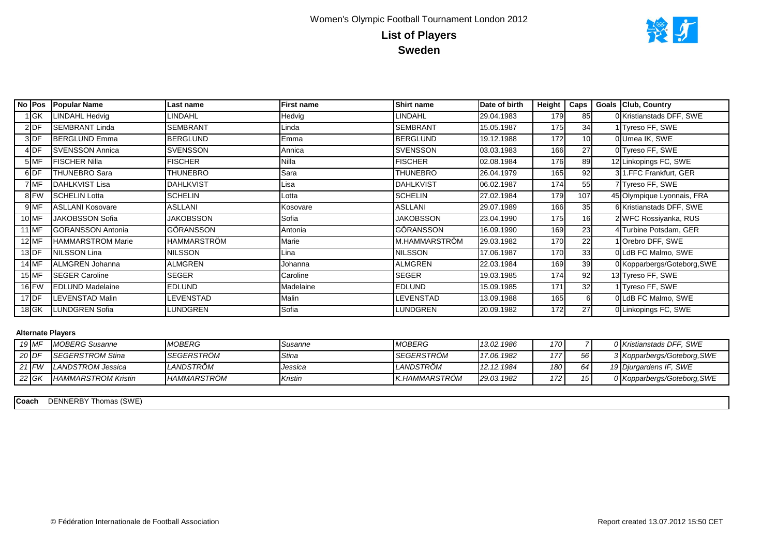# Women's Olympic Football Tournament London 2012 **List of Players Sweden**



| No Pos          |        | <b>Popular Name</b>      | Last name        | <b>First name</b> | <b>Shirt name</b> | Date of birth | Height $\vert$ Caps |                 | <b>Goals Club, Country</b>  |
|-----------------|--------|--------------------------|------------------|-------------------|-------------------|---------------|---------------------|-----------------|-----------------------------|
|                 | $1$ GK | LINDAHL Hedvig           | LINDAHL          | Hedvig            | LINDAHL           | 29.04.1983    | 179                 | 85              | 0 Kristianstads DFF, SWE    |
| $2$ DF          |        | <b>SEMBRANT Linda</b>    | <b>SEMBRANT</b>  | Linda             | <b>SEMBRANT</b>   | 15.05.1987    | 175                 | 34              | 1 Tyreso FF, SWE            |
| 3DF             |        | <b>BERGLUND Emma</b>     | <b>BERGLUND</b>  | Emma              | <b>BERGLUND</b>   | 19.12.1988    | 172                 | 10 <sub>l</sub> | 0 Umea IK, SWE              |
| 4 <sub>DF</sub> |        | <b>SVENSSON Annica</b>   | <b>SVENSSON</b>  | Annica            | <b>SVENSSON</b>   | 03.03.1983    | 166                 | 27              | 0 Tyreso FF, SWE            |
| 5 MF            |        | <b>FISCHER Nilla</b>     | <b>FISCHER</b>   | Nilla             | <b>FISCHER</b>    | 02.08.1984    | 176                 | 89              | 12 Linkopings FC, SWE       |
| 6DF             |        | <b>THUNEBRO Sara</b>     | THUNEBRO         | Sara              | THUNEBRO          | 26.04.1979    | 165                 | 92              | 31.FFC Frankfurt, GER       |
| 7 MF            |        | DAHLKVIST Lisa           | <b>DAHLKVIST</b> | Lisa              | <b>DAHLKVIST</b>  | 06.02.1987    | 174                 | 55              | 7 Tyreso FF, SWE            |
| 8 FW            |        | <b>SCHELIN Lotta</b>     | SCHELIN          | Lotta             | <b>SCHELIN</b>    | 27.02.1984    | 179                 | 107             | 45 Olympique Lyonnais, FRA  |
| 9 MF            |        | <b>ASLLANI Kosovare</b>  | <b>ASLLANI</b>   | Kosovare          | <b>ASLLANI</b>    | 29.07.1989    | 166                 | 35              | 6 Kristianstads DFF, SWE    |
| $10$ MF         |        | JAKOBSSON Sofia          | JAKOBSSON        | Sofia             | <b>JAKOBSSON</b>  | 23.04.1990    | 175                 | 16              | 2 WFC Rossiyanka, RUS       |
| 11 MF           |        | <b>GORANSSON Antonia</b> | GÖRANSSON        | Antonia           | GÖRANSSON         | 16.09.1990    | 169                 | 23              | 4 Turbine Potsdam, GER      |
| 12 MF           |        | <b>HAMMARSTROM Marie</b> | HAMMARSTRÖM      | Marie             | M.HAMMARSTRÖM     | 29.03.1982    | 170                 | 22              | Orebro DFF, SWE             |
| 13 <b>DF</b>    |        | NILSSON Lina             | <b>NILSSON</b>   | Lina              | <b>NILSSON</b>    | 17.06.1987    | 170                 | 33              | 0 LdB FC Malmo, SWE         |
| $14$ MF         |        | <b>ALMGREN Johanna</b>   | <b>ALMGREN</b>   | Johanna           | <b>ALMGREN</b>    | 22.03.1984    | 169                 | 39              | 0 Kopparbergs/Goteborg, SWE |
| $15$ MF         |        | <b>SEGER Caroline</b>    | <b>SEGER</b>     | Caroline          | <b>SEGER</b>      | 19.03.1985    | 174                 | 92              | 13 Tyreso FF, SWE           |
| $16$ FW         |        | <b>EDLUND Madelaine</b>  | <b>EDLUND</b>    | Madelaine         | <b>EDLUND</b>     | 15.09.1985    | 171                 | 32              | 1 Tyreso FF, SWE            |
| $17$ DF         |        | LEVENSTAD Malin          | LEVENSTAD        | Malin             | LEVENSTAD         | 13.09.1988    | 165                 |                 | 0 LdB FC Malmo, SWE         |
| $18$ $GK$       |        | <b>ILUNDGREN Sofia</b>   | <b>LUNDGREN</b>  | <b>S</b> ofia     | LUNDGREN          | 20.09.1982    | 172                 | 27              | 0 Linkopings FC, SWE        |

#### **Alternate Players**

| 19 $MF$ | MOBERG Susanne             | <b>MOBERG</b>             | Susanne | <b>MOBERG</b>     | 13.02.1986 | 170 <b>I</b> |                 | 0 Kristianstads DFF, SWE   |
|---------|----------------------------|---------------------------|---------|-------------------|------------|--------------|-----------------|----------------------------|
| 20 DF   | <b>ISEGERSTROM Stina</b>   | <i><b>ISEGERSTROM</b></i> | Stina   | <b>SEGERSTRÖM</b> | 17.06.1982 | 177          | 56 <sub>1</sub> | 3 Kopparbergs/Goteborg.SWE |
| 21 FW   | <b>LANDSTROM Jessica</b>   | LANDSTROM                 | Jessica | LANDSTRÖM         | 12.12.1984 | 180          | 64              | 19 Diurgardens IF, SWE     |
| 22 $GK$ | <b>HAMMARSTROM Kristin</b> | <b>HAMMARSTRÖM</b>        | Kristin | K.HAMMARSTRÖM     | 29.03.1982 | 172          | 151             | 0 Kopparbergs/Goteborg.SWE |

**Coach** DENNERBY Thomas (SWE)